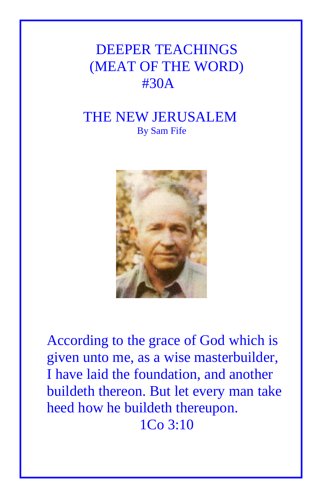# DEEPER TEACHINGS (MEAT OF THE WORD) #30A

# THE NEW JERUSALEM By Sam Fife



According to the grace of God which is given unto me, as a wise masterbuilder, I have laid the foundation, and another buildeth thereon. But let every man take heed how he buildeth thereupon. 1Co 3:10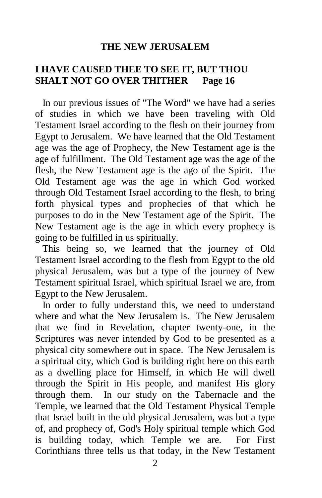#### **THE NEW JERUSALEM**

### **I HAVE CAUSED THEE TO SEE IT, BUT THOU SHALT NOT GO OVER THITHER Page 16**

 In our previous issues of "The Word" we have had a series of studies in which we have been traveling with Old Testament Israel according to the flesh on their journey from Egypt to Jerusalem. We have learned that the Old Testament age was the age of Prophecy, the New Testament age is the age of fulfillment. The Old Testament age was the age of the flesh, the New Testament age is the ago of the Spirit. The Old Testament age was the age in which God worked through Old Testament Israel according to the flesh, to bring forth physical types and prophecies of that which he purposes to do in the New Testament age of the Spirit. The New Testament age is the age in which every prophecy is going to be fulfilled in us spiritually.

 This being so, we learned that the journey of Old Testament Israel according to the flesh from Egypt to the old physical Jerusalem, was but a type of the journey of New Testament spiritual Israel, which spiritual Israel we are, from Egypt to the New Jerusalem.

 In order to fully understand this, we need to understand where and what the New Jerusalem is. The New Jerusalem that we find in Revelation, chapter twenty-one, in the Scriptures was never intended by God to be presented as a physical city somewhere out in space. The New Jerusalem is a spiritual city, which God is building right here on this earth as a dwelling place for Himself, in which He will dwell through the Spirit in His people, and manifest His glory through them. In our study on the Tabernacle and the Temple, we learned that the Old Testament Physical Temple that Israel built in the old physical Jerusalem, was but a type of, and prophecy of, God's Holy spiritual temple which God is building today, which Temple we are. For First Corinthians three tells us that today, in the New Testament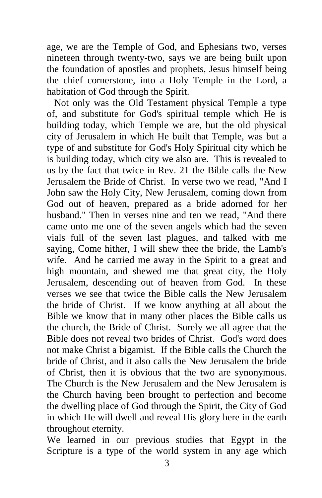age, we are the Temple of God, and Ephesians two, verses nineteen through twenty-two, says we are being built upon the foundation of apostles and prophets, Jesus himself being the chief cornerstone, into a Holy Temple in the Lord, a habitation of God through the Spirit.

 Not only was the Old Testament physical Temple a type of, and substitute for God's spiritual temple which He is building today, which Temple we are, but the old physical city of Jerusalem in which He built that Temple, was but a type of and substitute for God's Holy Spiritual city which he is building today, which city we also are. This is revealed to us by the fact that twice in Rev. 21 the Bible calls the New Jerusalem the Bride of Christ. In verse two we read, "And I John saw the Holy City, New Jerusalem, coming down from God out of heaven, prepared as a bride adorned for her husband." Then in verses nine and ten we read, "And there came unto me one of the seven angels which had the seven vials full of the seven last plagues, and talked with me saying, Come hither, I will shew thee the bride, the Lamb's wife. And he carried me away in the Spirit to a great and high mountain, and shewed me that great city, the Holy Jerusalem, descending out of heaven from God. In these verses we see that twice the Bible calls the New Jerusalem the bride of Christ. If we know anything at all about the Bible we know that in many other places the Bible calls us the church, the Bride of Christ. Surely we all agree that the Bible does not reveal two brides of Christ. God's word does not make Christ a bigamist. If the Bible calls the Church the bride of Christ, and it also calls the New Jerusalem the bride of Christ, then it is obvious that the two are synonymous. The Church is the New Jerusalem and the New Jerusalem is the Church having been brought to perfection and become the dwelling place of God through the Spirit, the City of God in which He will dwell and reveal His glory here in the earth throughout eternity.

We learned in our previous studies that Egypt in the Scripture is a type of the world system in any age which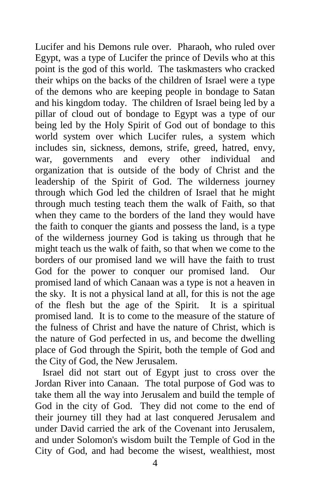Lucifer and his Demons rule over. Pharaoh, who ruled over Egypt, was a type of Lucifer the prince of Devils who at this point is the god of this world. The taskmasters who cracked their whips on the backs of the children of Israel were a type of the demons who are keeping people in bondage to Satan and his kingdom today. The children of Israel being led by a pillar of cloud out of bondage to Egypt was a type of our being led by the Holy Spirit of God out of bondage to this world system over which Lucifer rules, a system which includes sin, sickness, demons, strife, greed, hatred, envy, war, governments and every other individual and organization that is outside of the body of Christ and the leadership of the Spirit of God. The wilderness journey through which God led the children of Israel that he might through much testing teach them the walk of Faith, so that when they came to the borders of the land they would have the faith to conquer the giants and possess the land, is a type of the wilderness journey God is taking us through that he might teach us the walk of faith, so that when we come to the borders of our promised land we will have the faith to trust God for the power to conquer our promised land. Our promised land of which Canaan was a type is not a heaven in the sky. It is not a physical land at all, for this is not the age of the flesh but the age of the Spirit. It is a spiritual promised land. It is to come to the measure of the stature of the fulness of Christ and have the nature of Christ, which is the nature of God perfected in us, and become the dwelling place of God through the Spirit, both the temple of God and the City of God, the New Jerusalem.

 Israel did not start out of Egypt just to cross over the Jordan River into Canaan. The total purpose of God was to take them all the way into Jerusalem and build the temple of God in the city of God. They did not come to the end of their journey till they had at last conquered Jerusalem and under David carried the ark of the Covenant into Jerusalem, and under Solomon's wisdom built the Temple of God in the City of God, and had become the wisest, wealthiest, most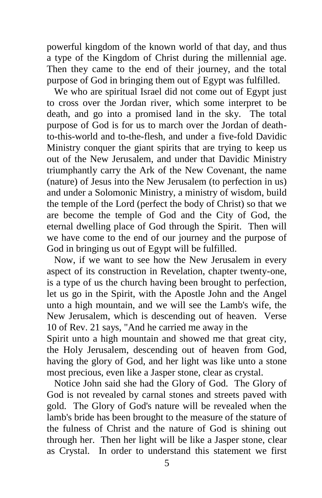powerful kingdom of the known world of that day, and thus a type of the Kingdom of Christ during the millennial age. Then they came to the end of their journey, and the total purpose of God in bringing them out of Egypt was fulfilled.

 We who are spiritual Israel did not come out of Egypt just to cross over the Jordan river, which some interpret to be death, and go into a promised land in the sky. The total purpose of God is for us to march over the Jordan of deathto-this-world and to-the-flesh, and under a five-fold Davidic Ministry conquer the giant spirits that are trying to keep us out of the New Jerusalem, and under that Davidic Ministry triumphantly carry the Ark of the New Covenant, the name (nature) of Jesus into the New Jerusalem (to perfection in us) and under a Solomonic Ministry, a ministry of wisdom, build the temple of the Lord (perfect the body of Christ) so that we are become the temple of God and the City of God, the eternal dwelling place of God through the Spirit. Then will we have come to the end of our journey and the purpose of God in bringing us out of Egypt will be fulfilled.

 Now, if we want to see how the New Jerusalem in every aspect of its construction in Revelation, chapter twenty-one, is a type of us the church having been brought to perfection, let us go in the Spirit, with the Apostle John and the Angel unto a high mountain, and we will see the Lamb's wife, the New Jerusalem, which is descending out of heaven. Verse 10 of Rev. 21 says, "And he carried me away in the

Spirit unto a high mountain and showed me that great city, the Holy Jerusalem, descending out of heaven from God, having the glory of God, and her light was like unto a stone most precious, even like a Jasper stone, clear as crystal.

 Notice John said she had the Glory of God. The Glory of God is not revealed by carnal stones and streets paved with gold. The Glory of God's nature will be revealed when the lamb's bride has been brought to the measure of the stature of the fulness of Christ and the nature of God is shining out through her. Then her light will be like a Jasper stone, clear as Crystal. In order to understand this statement we first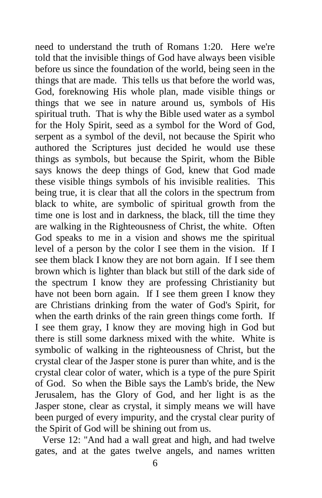need to understand the truth of Romans 1:20. Here we're told that the invisible things of God have always been visible before us since the foundation of the world, being seen in the things that are made. This tells us that before the world was, God, foreknowing His whole plan, made visible things or things that we see in nature around us, symbols of His spiritual truth. That is why the Bible used water as a symbol for the Holy Spirit, seed as a symbol for the Word of God, serpent as a symbol of the devil, not because the Spirit who authored the Scriptures just decided he would use these things as symbols, but because the Spirit, whom the Bible says knows the deep things of God, knew that God made these visible things symbols of his invisible realities. This being true, it is clear that all the colors in the spectrum from black to white, are symbolic of spiritual growth from the time one is lost and in darkness, the black, till the time they are walking in the Righteousness of Christ, the white. Often God speaks to me in a vision and shows me the spiritual level of a person by the color I see them in the vision. If I see them black I know they are not born again. If I see them brown which is lighter than black but still of the dark side of the spectrum I know they are professing Christianity but have not been born again. If I see them green I know they are Christians drinking from the water of God's Spirit, for when the earth drinks of the rain green things come forth. If I see them gray, I know they are moving high in God but there is still some darkness mixed with the white. White is symbolic of walking in the righteousness of Christ, but the crystal clear of the Jasper stone is purer than white, and is the crystal clear color of water, which is a type of the pure Spirit of God. So when the Bible says the Lamb's bride, the New Jerusalem, has the Glory of God, and her light is as the Jasper stone, clear as crystal, it simply means we will have been purged of every impurity, and the crystal clear purity of the Spirit of God will be shining out from us.

 Verse 12: "And had a wall great and high, and had twelve gates, and at the gates twelve angels, and names written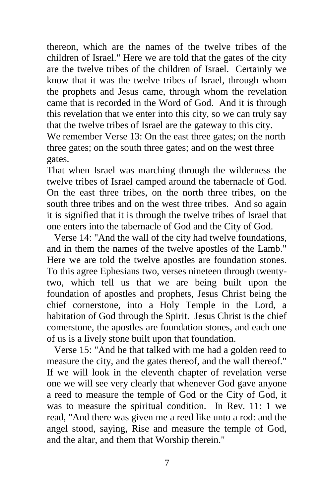thereon, which are the names of the twelve tribes of the children of Israel." Here we are told that the gates of the city are the twelve tribes of the children of Israel. Certainly we know that it was the twelve tribes of Israel, through whom the prophets and Jesus came, through whom the revelation came that is recorded in the Word of God. And it is through this revelation that we enter into this city, so we can truly say that the twelve tribes of Israel are the gateway to this city. We remember Verse 13: On the east three gates; on the north

three gates; on the south three gates; and on the west three gates.

That when Israel was marching through the wilderness the twelve tribes of Israel camped around the tabernacle of God. On the east three tribes, on the north three tribes, on the south three tribes and on the west three tribes. And so again it is signified that it is through the twelve tribes of Israel that one enters into the tabernacle of God and the City of God.

 Verse 14: "And the wall of the city had twelve foundations, and in them the names of the twelve apostles of the Lamb." Here we are told the twelve apostles are foundation stones. To this agree Ephesians two, verses nineteen through twentytwo, which tell us that we are being built upon the foundation of apostles and prophets, Jesus Christ being the chief cornerstone, into a Holy Temple in the Lord, a habitation of God through the Spirit. Jesus Christ is the chief comerstone, the apostles are foundation stones, and each one of us is a lively stone built upon that foundation.

 Verse 15: "And he that talked with me had a golden reed to measure the city, and the gates thereof, and the wall thereof." If we will look in the eleventh chapter of revelation verse one we will see very clearly that whenever God gave anyone a reed to measure the temple of God or the City of God, it was to measure the spiritual condition. In Rev. 11: 1 we read, "And there was given me a reed like unto a rod: and the angel stood, saying, Rise and measure the temple of God, and the altar, and them that Worship therein."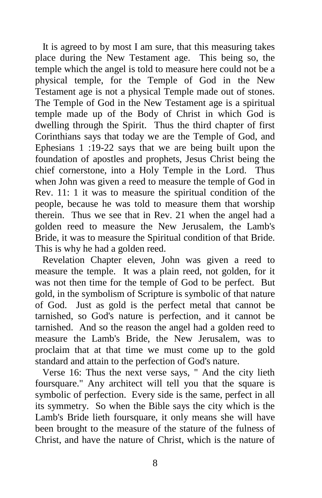It is agreed to by most I am sure, that this measuring takes place during the New Testament age. This being so, the temple which the angel is told to measure here could not be a physical temple, for the Temple of God in the New Testament age is not a physical Temple made out of stones. The Temple of God in the New Testament age is a spiritual temple made up of the Body of Christ in which God is dwelling through the Spirit. Thus the third chapter of first Corinthians says that today we are the Temple of God, and Ephesians 1 :19-22 says that we are being built upon the foundation of apostles and prophets, Jesus Christ being the chief cornerstone, into a Holy Temple in the Lord. Thus when John was given a reed to measure the temple of God in Rev. 11: 1 it was to measure the spiritual condition of the people, because he was told to measure them that worship therein. Thus we see that in Rev. 21 when the angel had a golden reed to measure the New Jerusalem, the Lamb's Bride, it was to measure the Spiritual condition of that Bride. This is why he had a golden reed.

 Revelation Chapter eleven, John was given a reed to measure the temple. It was a plain reed, not golden, for it was not then time for the temple of God to be perfect. But gold, in the symbolism of Scripture is symbolic of that nature of God. Just as gold is the perfect metal that cannot be tarnished, so God's nature is perfection, and it cannot be tarnished. And so the reason the angel had a golden reed to measure the Lamb's Bride, the New Jerusalem, was to proclaim that at that time we must come up to the gold standard and attain to the perfection of God's nature.

 Verse 16: Thus the next verse says, " And the city lieth foursquare." Any architect will tell you that the square is symbolic of perfection. Every side is the same, perfect in all its symmetry. So when the Bible says the city which is the Lamb's Bride lieth foursquare, it only means she will have been brought to the measure of the stature of the fulness of Christ, and have the nature of Christ, which is the nature of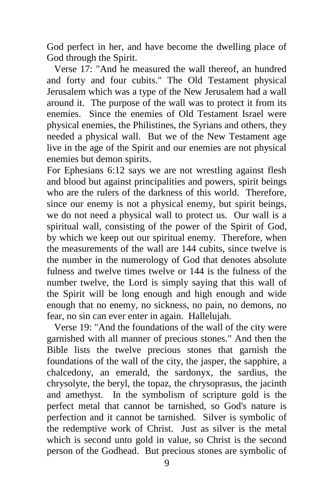God perfect in her, and have become the dwelling place of God through the Spirit.

 Verse 17: "And he measured the wall thereof, an hundred and forty and four cubits." The Old Testament physical Jerusalem which was a type of the New Jerusalem had a wall around it. The purpose of the wall was to protect it from its enemies. Since the enemies of Old Testament Israel were physical enemies, the Philistines, the Syrians and others, they needed a physical wall. But we of the New Testament age live in the age of the Spirit and our enemies are not physical enemies but demon spirits.

For Ephesians 6:12 says we are not wrestling against flesh and blood but against principalities and powers, spirit beings who are the rulers of the darkness of this world. Therefore, since our enemy is not a physical enemy, but spirit beings, we do not need a physical wall to protect us. Our wall is a spiritual wall, consisting of the power of the Spirit of God, by which we keep out our spiritual enemy. Therefore, when the measurements of the wall are 144 cubits, since twelve is the number in the numerology of God that denotes absolute fulness and twelve times twelve or 144 is the fulness of the number twelve, the Lord is simply saying that this wall of the Spirit will be long enough and high enough and wide enough that no enemy, no sickness, no pain, no demons, no fear, no sin can ever enter in again. Hallelujah.

 Verse 19: "And the foundations of the wall of the city were garnished with all manner of precious stones." And then the Bible lists the twelve precious stones that garnish the foundations of the wall of the city, the jasper, the sapphire, a chalcedony, an emerald, the sardonyx, the sardius, the chrysolyte, the beryl, the topaz, the chrysoprasus, the jacinth and amethyst. In the symbolism of scripture gold is the perfect metal that cannot be tarnished, so God's nature is perfection and it cannot be tarnished. Silver is symbolic of the redemptive work of Christ. Just as silver is the metal which is second unto gold in value, so Christ is the second person of the Godhead. But precious stones are symbolic of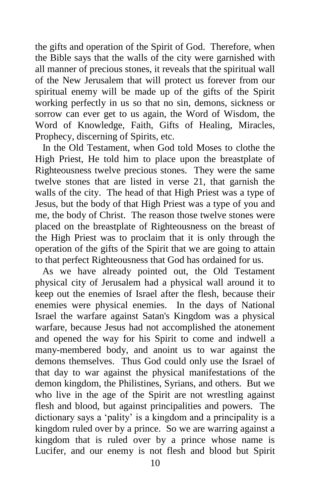the gifts and operation of the Spirit of God. Therefore, when the Bible says that the walls of the city were garnished with all manner of precious stones, it reveals that the spiritual wall of the New Jerusalem that will protect us forever from our spiritual enemy will be made up of the gifts of the Spirit working perfectly in us so that no sin, demons, sickness or sorrow can ever get to us again, the Word of Wisdom, the Word of Knowledge, Faith, Gifts of Healing, Miracles, Prophecy, discerning of Spirits, etc.

 In the Old Testament, when God told Moses to clothe the High Priest, He told him to place upon the breastplate of Righteousness twelve precious stones. They were the same twelve stones that are listed in verse 21, that garnish the walls of the city. The head of that High Priest was a type of Jesus, but the body of that High Priest was a type of you and me, the body of Christ. The reason those twelve stones were placed on the breastplate of Righteousness on the breast of the High Priest was to proclaim that it is only through the operation of the gifts of the Spirit that we are going to attain to that perfect Righteousness that God has ordained for us.

 As we have already pointed out, the Old Testament physical city of Jerusalem had a physical wall around it to keep out the enemies of Israel after the flesh, because their enemies were physical enemies. In the days of National Israel the warfare against Satan's Kingdom was a physical warfare, because Jesus had not accomplished the atonement and opened the way for his Spirit to come and indwell a many-membered body, and anoint us to war against the demons themselves. Thus God could only use the Israel of that day to war against the physical manifestations of the demon kingdom, the Philistines, Syrians, and others. But we who live in the age of the Spirit are not wrestling against flesh and blood, but against principalities and powers. The dictionary says a 'pality' is a kingdom and a principality is a kingdom ruled over by a prince. So we are warring against a kingdom that is ruled over by a prince whose name is Lucifer, and our enemy is not flesh and blood but Spirit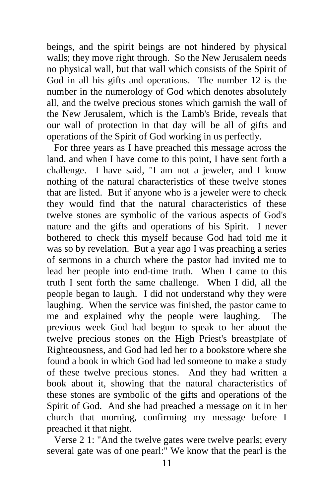beings, and the spirit beings are not hindered by physical walls; they move right through. So the New Jerusalem needs no physical wall, but that wall which consists of the Spirit of God in all his gifts and operations. The number 12 is the number in the numerology of God which denotes absolutely all, and the twelve precious stones which garnish the wall of the New Jerusalem, which is the Lamb's Bride, reveals that our wall of protection in that day will be all of gifts and operations of the Spirit of God working in us perfectly.

 For three years as I have preached this message across the land, and when I have come to this point, I have sent forth a challenge. I have said, "I am not a jeweler, and I know nothing of the natural characteristics of these twelve stones that are listed. But if anyone who is a jeweler were to check they would find that the natural characteristics of these twelve stones are symbolic of the various aspects of God's nature and the gifts and operations of his Spirit. I never bothered to check this myself because God had told me it was so by revelation. But a year ago I was preaching a series of sermons in a church where the pastor had invited me to lead her people into end-time truth. When I came to this truth I sent forth the same challenge. When I did, all the people began to laugh. I did not understand why they were laughing. When the service was finished, the pastor came to me and explained why the people were laughing. The previous week God had begun to speak to her about the twelve precious stones on the High Priest's breastplate of Righteousness, and God had led her to a bookstore where she found a book in which God had led someone to make a study of these twelve precious stones. And they had written a book about it, showing that the natural characteristics of these stones are symbolic of the gifts and operations of the Spirit of God. And she had preached a message on it in her church that morning, confirming my message before I preached it that night.

 Verse 2 1: "And the twelve gates were twelve pearls; every several gate was of one pearl:" We know that the pearl is the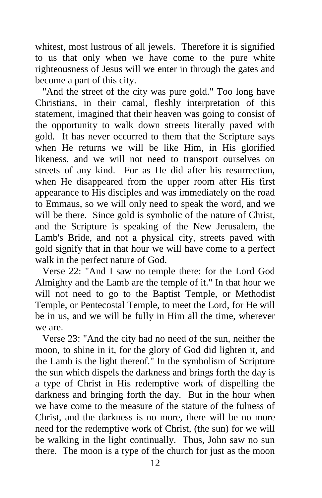whitest, most lustrous of all jewels. Therefore it is signified to us that only when we have come to the pure white righteousness of Jesus will we enter in through the gates and become a part of this city.

"And the street of the city was pure gold." Too long have Christians, in their camal, fleshly interpretation of this statement, imagined that their heaven was going to consist of the opportunity to walk down streets literally paved with gold. It has never occurred to them that the Scripture says when He returns we will be like Him, in His glorified likeness, and we will not need to transport ourselves on streets of any kind. For as He did after his resurrection, when He disappeared from the upper room after His first appearance to His disciples and was immediately on the road to Emmaus, so we will only need to speak the word, and we will be there. Since gold is symbolic of the nature of Christ, and the Scripture is speaking of the New Jerusalem, the Lamb's Bride, and not a physical city, streets paved with gold signify that in that hour we will have come to a perfect walk in the perfect nature of God.

 Verse 22: "And I saw no temple there: for the Lord God Almighty and the Lamb are the temple of it." In that hour we will not need to go to the Baptist Temple, or Methodist Temple, or Pentecostal Temple, to meet the Lord, for He will be in us, and we will be fully in Him all the time, wherever we are.

 Verse 23: "And the city had no need of the sun, neither the moon, to shine in it, for the glory of God did lighten it, and the Lamb is the light thereof." In the symbolism of Scripture the sun which dispels the darkness and brings forth the day is a type of Christ in His redemptive work of dispelling the darkness and bringing forth the day. But in the hour when we have come to the measure of the stature of the fulness of Christ, and the darkness is no more, there will be no more need for the redemptive work of Christ, (the sun) for we will be walking in the light continually. Thus, John saw no sun there. The moon is a type of the church for just as the moon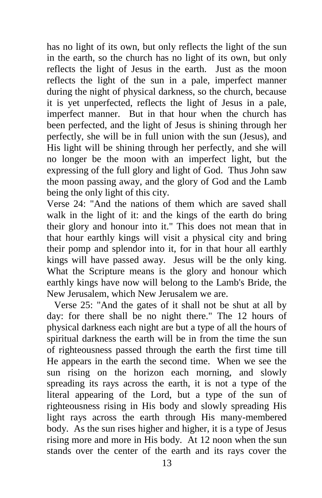has no light of its own, but only reflects the light of the sun in the earth, so the church has no light of its own, but only reflects the light of Jesus in the earth. Just as the moon reflects the light of the sun in a pale, imperfect manner during the night of physical darkness, so the church, because it is yet unperfected, reflects the light of Jesus in a pale, imperfect manner. But in that hour when the church has been perfected, and the light of Jesus is shining through her perfectly, she will be in full union with the sun (Jesus), and His light will be shining through her perfectly, and she will no longer be the moon with an imperfect light, but the expressing of the full glory and light of God. Thus John saw the moon passing away, and the glory of God and the Lamb being the only light of this city.

Verse 24: "And the nations of them which are saved shall walk in the light of it: and the kings of the earth do bring their glory and honour into it." This does not mean that in that hour earthly kings will visit a physical city and bring their pomp and splendor into it, for in that hour all earthly kings will have passed away. Jesus will be the only king. What the Scripture means is the glory and honour which earthly kings have now will belong to the Lamb's Bride, the New Jerusalem, which New Jerusalem we are.

 Verse 25: "And the gates of it shall not be shut at all by day: for there shall be no night there." The 12 hours of physical darkness each night are but a type of all the hours of spiritual darkness the earth will be in from the time the sun of righteousness passed through the earth the first time till He appears in the earth the second time. When we see the sun rising on the horizon each morning, and slowly spreading its rays across the earth, it is not a type of the literal appearing of the Lord, but a type of the sun of righteousness rising in His body and slowly spreading His light rays across the earth through His many-membered body. As the sun rises higher and higher, it is a type of Jesus rising more and more in His body. At 12 noon when the sun stands over the center of the earth and its rays cover the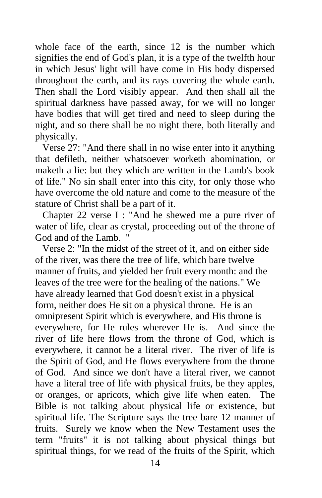whole face of the earth, since 12 is the number which signifies the end of God's plan, it is a type of the twelfth hour in which Jesus' light will have come in His body dispersed throughout the earth, and its rays covering the whole earth. Then shall the Lord visibly appear. And then shall all the spiritual darkness have passed away, for we will no longer have bodies that will get tired and need to sleep during the night, and so there shall be no night there, both literally and physically.

 Verse 27: "And there shall in no wise enter into it anything that defileth, neither whatsoever worketh abomination, or maketh a lie: but they which are written in the Lamb's book of life." No sin shall enter into this city, for only those who have overcome the old nature and come to the measure of the stature of Christ shall be a part of it.

 Chapter 22 verse I : "And he shewed me a pure river of water of life, clear as crystal, proceeding out of the throne of God and of the Lamb.

 Verse 2: "In the midst of the street of it, and on either side of the river, was there the tree of life, which bare twelve manner of fruits, and yielded her fruit every month: and the leaves of the tree were for the healing of the nations." We have already learned that God doesn't exist in a physical form, neither does He sit on a physical throne. He is an omnipresent Spirit which is everywhere, and His throne is everywhere, for He rules wherever He is. And since the river of life here flows from the throne of God, which is everywhere, it cannot be a literal river. The river of life is the Spirit of God, and He flows everywhere from the throne of God. And since we don't have a literal river, we cannot have a literal tree of life with physical fruits, be they apples, or oranges, or apricots, which give life when eaten. The Bible is not talking about physical life or existence, but spiritual life. The Scripture says the tree bare 12 manner of fruits. Surely we know when the New Testament uses the term "fruits" it is not talking about physical things but spiritual things, for we read of the fruits of the Spirit, which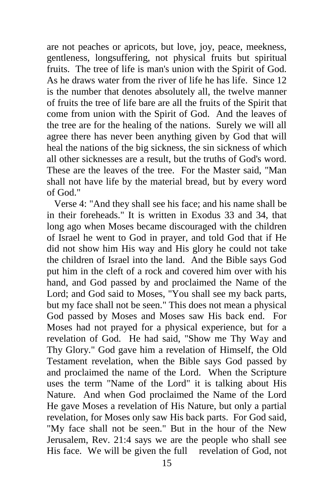are not peaches or apricots, but love, joy, peace, meekness, gentleness, longsuffering, not physical fruits but spiritual fruits. The tree of life is man's union with the Spirit of God. As he draws water from the river of life he has life. Since 12 is the number that denotes absolutely all, the twelve manner of fruits the tree of life bare are all the fruits of the Spirit that come from union with the Spirit of God. And the leaves of the tree are for the healing of the nations. Surely we will all agree there has never been anything given by God that will heal the nations of the big sickness, the sin sickness of which all other sicknesses are a result, but the truths of God's word. These are the leaves of the tree. For the Master said, "Man shall not have life by the material bread, but by every word of God."

 Verse 4: "And they shall see his face; and his name shall be in their foreheads." It is written in Exodus 33 and 34, that long ago when Moses became discouraged with the children of Israel he went to God in prayer, and told God that if He did not show him His way and His glory he could not take the children of Israel into the land. And the Bible says God put him in the cleft of a rock and covered him over with his hand, and God passed by and proclaimed the Name of the Lord; and God said to Moses, "You shall see my back parts, but my face shall not be seen." This does not mean a physical God passed by Moses and Moses saw His back end. For Moses had not prayed for a physical experience, but for a revelation of God. He had said, "Show me Thy Way and Thy Glory." God gave him a revelation of Himself, the Old Testament revelation, when the Bible says God passed by and proclaimed the name of the Lord. When the Scripture uses the term "Name of the Lord" it is talking about His Nature. And when God proclaimed the Name of the Lord He gave Moses a revelation of His Nature, but only a partial revelation, for Moses only saw His back parts. For God said, "My face shall not be seen." But in the hour of the New Jerusalem, Rev. 21:4 says we are the people who shall see His face. We will be given the full revelation of God, not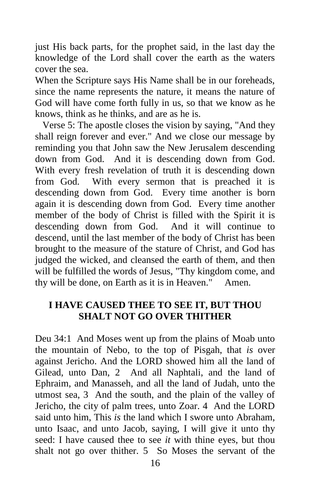just His back parts, for the prophet said, in the last day the knowledge of the Lord shall cover the earth as the waters cover the sea.

When the Scripture says His Name shall be in our foreheads, since the name represents the nature, it means the nature of God will have come forth fully in us, so that we know as he knows, think as he thinks, and are as he is.

 Verse 5: The apostle closes the vision by saying, "And they shall reign forever and ever." And we close our message by reminding you that John saw the New Jerusalem descending down from God. And it is descending down from God. With every fresh revelation of truth it is descending down from God. With every sermon that is preached it is descending down from God. Every time another is born again it is descending down from God. Every time another member of the body of Christ is filled with the Spirit it is descending down from God. And it will continue to descend, until the last member of the body of Christ has been brought to the measure of the stature of Christ, and God has judged the wicked, and cleansed the earth of them, and then will be fulfilled the words of Jesus, "Thy kingdom come, and thy will be done, on Earth as it is in Heaven." Amen.

## **I HAVE CAUSED THEE TO SEE IT, BUT THOU SHALT NOT GO OVER THITHER**

Deu 34:1 And Moses went up from the plains of Moab unto the mountain of Nebo, to the top of Pisgah, that *is* over against Jericho. And the LORD showed him all the land of Gilead, unto Dan, 2 And all Naphtali, and the land of Ephraim, and Manasseh, and all the land of Judah, unto the utmost sea, 3 And the south, and the plain of the valley of Jericho, the city of palm trees, unto Zoar. 4 And the LORD said unto him, This *is* the land which I swore unto Abraham, unto Isaac, and unto Jacob, saying, I will give it unto thy seed: I have caused thee to see *it* with thine eyes, but thou shalt not go over thither. 5 So Moses the servant of the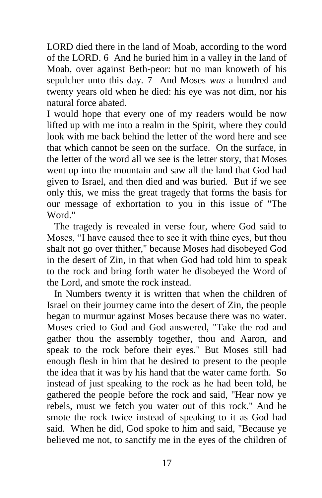LORD died there in the land of Moab, according to the word of the LORD. 6 And he buried him in a valley in the land of Moab, over against Beth-peor: but no man knoweth of his sepulcher unto this day. 7 And Moses *was* a hundred and twenty years old when he died: his eye was not dim, nor his natural force abated.

I would hope that every one of my readers would be now lifted up with me into a realm in the Spirit, where they could look with me back behind the letter of the word here and see that which cannot be seen on the surface. On the surface, in the letter of the word all we see is the letter story, that Moses went up into the mountain and saw all the land that God had given to Israel, and then died and was buried. But if we see only this, we miss the great tragedy that forms the basis for our message of exhortation to you in this issue of "The Word."

 The tragedy is revealed in verse four, where God said to Moses, "I have caused thee to see it with thine eyes, but thou shalt not go over thither," because Moses had disobeyed God in the desert of Zin, in that when God had told him to speak to the rock and bring forth water he disobeyed the Word of the Lord, and smote the rock instead.

 In Numbers twenty it is written that when the children of Israel on their journey came into the desert of Zin, the people began to murmur against Moses because there was no water. Moses cried to God and God answered, "Take the rod and gather thou the assembly together, thou and Aaron, and speak to the rock before their eyes." But Moses still had enough flesh in him that he desired to present to the people the idea that it was by his hand that the water came forth. So instead of just speaking to the rock as he had been told, he gathered the people before the rock and said, "Hear now ye rebels, must we fetch you water out of this rock." And he smote the rock twice instead of speaking to it as God had said. When he did, God spoke to him and said, "Because ye believed me not, to sanctify me in the eyes of the children of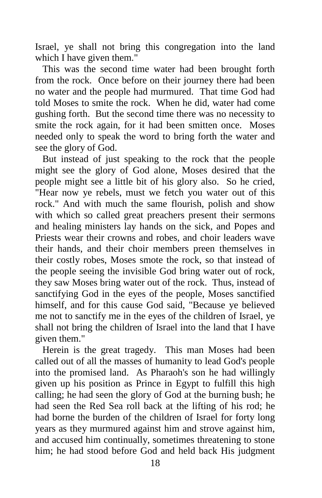Israel, ye shall not bring this congregation into the land which I have given them."

 This was the second time water had been brought forth from the rock. Once before on their journey there had been no water and the people had murmured. That time God had told Moses to smite the rock. When he did, water had come gushing forth. But the second time there was no necessity to smite the rock again, for it had been smitten once. Moses needed only to speak the word to bring forth the water and see the glory of God.

 But instead of just speaking to the rock that the people might see the glory of God alone, Moses desired that the people might see a little bit of his glory also. So he cried, "Hear now ye rebels, must we fetch you water out of this rock." And with much the same flourish, polish and show with which so called great preachers present their sermons and healing ministers lay hands on the sick, and Popes and Priests wear their crowns and robes, and choir leaders wave their hands, and their choir members preen themselves in their costly robes, Moses smote the rock, so that instead of the people seeing the invisible God bring water out of rock, they saw Moses bring water out of the rock. Thus, instead of sanctifying God in the eyes of the people, Moses sanctified himself, and for this cause God said, "Because ye believed me not to sanctify me in the eyes of the children of Israel, ye shall not bring the children of Israel into the land that I have given them."

 Herein is the great tragedy. This man Moses had been called out of all the masses of humanity to lead God's people into the promised land. As Pharaoh's son he had willingly given up his position as Prince in Egypt to fulfill this high calling; he had seen the glory of God at the burning bush; he had seen the Red Sea roll back at the lifting of his rod; he had borne the burden of the children of Israel for forty long years as they murmured against him and strove against him, and accused him continually, sometimes threatening to stone him; he had stood before God and held back His judgment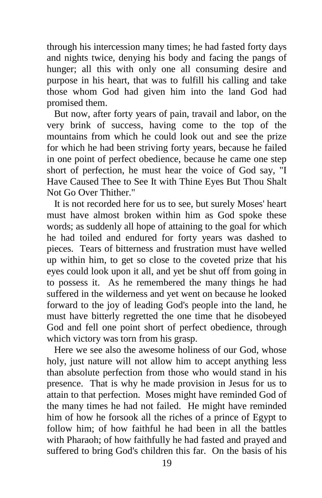through his intercession many times; he had fasted forty days and nights twice, denying his body and facing the pangs of hunger; all this with only one all consuming desire and purpose in his heart, that was to fulfill his calling and take those whom God had given him into the land God had promised them.

 But now, after forty years of pain, travail and labor, on the very brink of success, having come to the top of the mountains from which he could look out and see the prize for which he had been striving forty years, because he failed in one point of perfect obedience, because he came one step short of perfection, he must hear the voice of God say, "I Have Caused Thee to See It with Thine Eyes But Thou Shalt Not Go Over Thither."

 It is not recorded here for us to see, but surely Moses' heart must have almost broken within him as God spoke these words; as suddenly all hope of attaining to the goal for which he had toiled and endured for forty years was dashed to pieces. Tears of bitterness and frustration must have welled up within him, to get so close to the coveted prize that his eyes could look upon it all, and yet be shut off from going in to possess it. As he remembered the many things he had suffered in the wilderness and yet went on because he looked forward to the joy of leading God's people into the land, he must have bitterly regretted the one time that he disobeyed God and fell one point short of perfect obedience, through which victory was torn from his grasp.

 Here we see also the awesome holiness of our God, whose holy, just nature will not allow him to accept anything less than absolute perfection from those who would stand in his presence. That is why he made provision in Jesus for us to attain to that perfection. Moses might have reminded God of the many times he had not failed. He might have reminded him of how he forsook all the riches of a prince of Egypt to follow him; of how faithful he had been in all the battles with Pharaoh; of how faithfully he had fasted and prayed and suffered to bring God's children this far. On the basis of his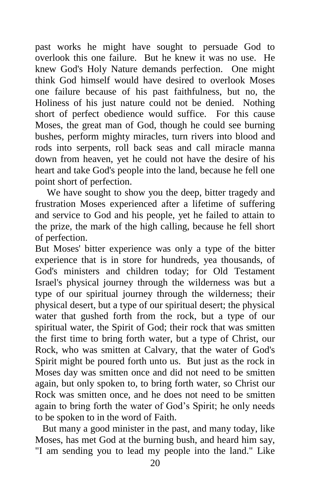past works he might have sought to persuade God to overlook this one failure. But he knew it was no use. He knew God's Holy Nature demands perfection. One might think God himself would have desired to overlook Moses one failure because of his past faithfulness, but no, the Holiness of his just nature could not be denied. Nothing short of perfect obedience would suffice. For this cause Moses, the great man of God, though he could see burning bushes, perform mighty miracles, turn rivers into blood and rods into serpents, roll back seas and call miracle manna down from heaven, yet he could not have the desire of his heart and take God's people into the land, because he fell one point short of perfection.

We have sought to show you the deep, bitter tragedy and frustration Moses experienced after a lifetime of suffering and service to God and his people, yet he failed to attain to the prize, the mark of the high calling, because he fell short of perfection.

But Moses' bitter experience was only a type of the bitter experience that is in store for hundreds, yea thousands, of God's ministers and children today; for Old Testament Israel's physical journey through the wilderness was but a type of our spiritual journey through the wilderness; their physical desert, but a type of our spiritual desert; the physical water that gushed forth from the rock, but a type of our spiritual water, the Spirit of God; their rock that was smitten the first time to bring forth water, but a type of Christ, our Rock, who was smitten at Calvary, that the water of God's Spirit might be poured forth unto us. But just as the rock in Moses day was smitten once and did not need to be smitten again, but only spoken to, to bring forth water, so Christ our Rock was smitten once, and he does not need to be smitten again to bring forth the water of God's Spirit; he only needs to be spoken to in the word of Faith.

 But many a good minister in the past, and many today, like Moses, has met God at the burning bush, and heard him say, "I am sending you to lead my people into the land." Like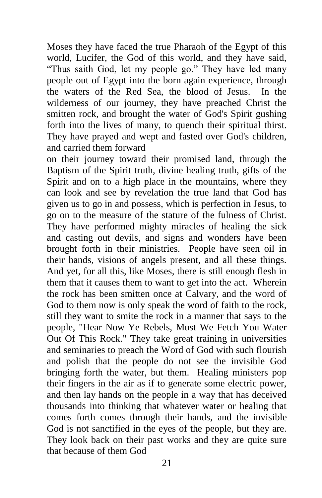Moses they have faced the true Pharaoh of the Egypt of this world, Lucifer, the God of this world, and they have said, "Thus saith God, let my people go." They have led many people out of Egypt into the born again experience, through the waters of the Red Sea, the blood of Jesus. In the wilderness of our journey, they have preached Christ the smitten rock, and brought the water of God's Spirit gushing forth into the lives of many, to quench their spiritual thirst. They have prayed and wept and fasted over God's children, and carried them forward

on their journey toward their promised land, through the Baptism of the Spirit truth, divine healing truth, gifts of the Spirit and on to a high place in the mountains, where they can look and see by revelation the true land that God has given us to go in and possess, which is perfection in Jesus, to go on to the measure of the stature of the fulness of Christ. They have performed mighty miracles of healing the sick and casting out devils, and signs and wonders have been brought forth in their ministries. People have seen oil in their hands, visions of angels present, and all these things. And yet, for all this, like Moses, there is still enough flesh in them that it causes them to want to get into the act. Wherein the rock has been smitten once at Calvary, and the word of God to them now is only speak the word of faith to the rock, still they want to smite the rock in a manner that says to the people, "Hear Now Ye Rebels, Must We Fetch You Water Out Of This Rock." They take great training in universities and seminaries to preach the Word of God with such flourish and polish that the people do not see the invisible God bringing forth the water, but them. Healing ministers pop their fingers in the air as if to generate some electric power, and then lay hands on the people in a way that has deceived thousands into thinking that whatever water or healing that comes forth comes through their hands, and the invisible God is not sanctified in the eyes of the people, but they are. They look back on their past works and they are quite sure that because of them God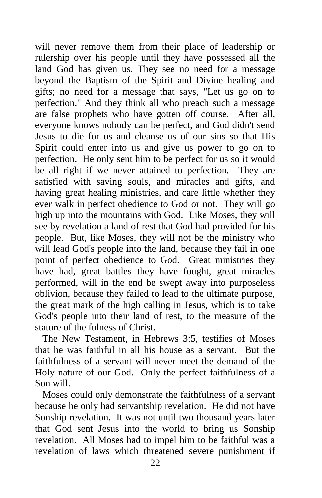will never remove them from their place of leadership or rulership over his people until they have possessed all the land God has given us. They see no need for a message beyond the Baptism of the Spirit and Divine healing and gifts; no need for a message that says, "Let us go on to perfection." And they think all who preach such a message are false prophets who have gotten off course. After all, everyone knows nobody can be perfect, and God didn't send Jesus to die for us and cleanse us of our sins so that His Spirit could enter into us and give us power to go on to perfection. He only sent him to be perfect for us so it would be all right if we never attained to perfection. They are satisfied with saving souls, and miracles and gifts, and having great healing ministries, and care little whether they ever walk in perfect obedience to God or not. They will go high up into the mountains with God. Like Moses, they will see by revelation a land of rest that God had provided for his people. But, like Moses, they will not be the ministry who will lead God's people into the land, because they fail in one point of perfect obedience to God. Great ministries they have had, great battles they have fought, great miracles performed, will in the end be swept away into purposeless oblivion, because they failed to lead to the ultimate purpose, the great mark of the high calling in Jesus, which is to take God's people into their land of rest, to the measure of the stature of the fulness of Christ.

 The New Testament, in Hebrews 3:5, testifies of Moses that he was faithful in all his house as a servant. But the faithfulness of a servant will never meet the demand of the Holy nature of our God. Only the perfect faithfulness of a Son will.

 Moses could only demonstrate the faithfulness of a servant because he only had servantship revelation. He did not have Sonship revelation. It was not until two thousand years later that God sent Jesus into the world to bring us Sonship revelation. All Moses had to impel him to be faithful was a revelation of laws which threatened severe punishment if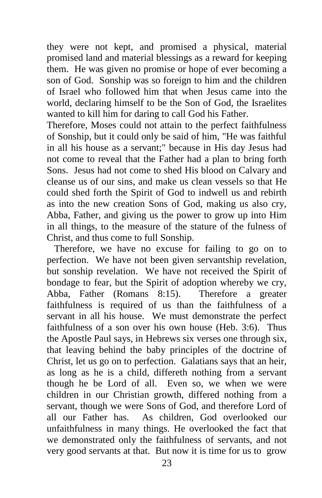they were not kept, and promised a physical, material promised land and material blessings as a reward for keeping them. He was given no promise or hope of ever becoming a son of God. Sonship was so foreign to him and the children of Israel who followed him that when Jesus came into the world, declaring himself to be the Son of God, the Israelites wanted to kill him for daring to call God his Father.

Therefore, Moses could not attain to the perfect faithfulness of Sonship, but it could only be said of him, "He was faithful in all his house as a servant;" because in His day Jesus had not come to reveal that the Father had a plan to bring forth Sons. Jesus had not come to shed His blood on Calvary and cleanse us of our sins, and make us clean vessels so that He could shed forth the Spirit of God to indwell us and rebirth as into the new creation Sons of God, making us also cry, Abba, Father, and giving us the power to grow up into Him in all things, to the measure of the stature of the fulness of Christ, and thus come to full Sonship.

 Therefore, we have no excuse for failing to go on to perfection. We have not been given servantship revelation, but sonship revelation. We have not received the Spirit of bondage to fear, but the Spirit of adoption whereby we cry, Abba, Father (Romans 8:15). Therefore a greater faithfulness is required of us than the faithfulness of a servant in all his house. We must demonstrate the perfect faithfulness of a son over his own house (Heb. 3:6). Thus the Apostle Paul says, in Hebrews six verses one through six, that leaving behind the baby principles of the doctrine of Christ, let us go on to perfection. Galatians says that an heir, as long as he is a child, differeth nothing from a servant though he be Lord of all. Even so, we when we were children in our Christian growth, differed nothing from a servant, though we were Sons of God, and therefore Lord of all our Father has. As children, God overlooked our unfaithfulness in many things. He overlooked the fact that we demonstrated only the faithfulness of servants, and not very good servants at that. But now it is time for us to grow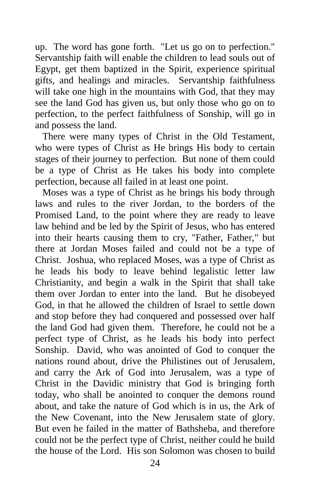up. The word has gone forth. "Let us go on to perfection." Servantship faith will enable the children to lead souls out of Egypt, get them baptized in the Spirit, experience spiritual gifts, and healings and miracles. Servantship faithfulness will take one high in the mountains with God, that they may see the land God has given us, but only those who go on to perfection, to the perfect faithfulness of Sonship, will go in and possess the land.

 There were many types of Christ in the Old Testament, who were types of Christ as He brings His body to certain stages of their journey to perfection. But none of them could be a type of Christ as He takes his body into complete perfection, because all failed in at least one point.

 Moses was a type of Christ as he brings his body through laws and rules to the river Jordan, to the borders of the Promised Land, to the point where they are ready to leave law behind and be led by the Spirit of Jesus, who has entered into their hearts causing them to cry, "Father, Father," but there at Jordan Moses failed and could not be a type of Christ. Joshua, who replaced Moses, was a type of Christ as he leads his body to leave behind legalistic letter law Christianity, and begin a walk in the Spirit that shall take them over Jordan to enter into the land. But he disobeyed God, in that he allowed the children of Israel to settle down and stop before they had conquered and possessed over half the land God had given them. Therefore, he could not be a perfect type of Christ, as he leads his body into perfect Sonship. David, who was anointed of God to conquer the nations round about, drive the Philistines out of Jerusalem, and carry the Ark of God into Jerusalem, was a type of Christ in the Davidic ministry that God is bringing forth today, who shall be anointed to conquer the demons round about, and take the nature of God which is in us, the Ark of the New Covenant, into the New Jerusalem state of glory. But even he failed in the matter of Bathsheba, and therefore could not be the perfect type of Christ, neither could he build the house of the Lord. His son Solomon was chosen to build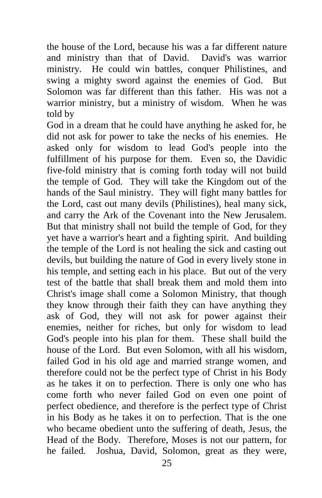the house of the Lord, because his was a far different nature and ministry than that of David. David's was warrior ministry. He could win battles, conquer Philistines, and swing a mighty sword against the enemies of God. But Solomon was far different than this father. His was not a warrior ministry, but a ministry of wisdom. When he was told by

God in a dream that he could have anything he asked for, he did not ask for power to take the necks of his enemies. He asked only for wisdom to lead God's people into the fulfillment of his purpose for them. Even so, the Davidic five-fold ministry that is coming forth today will not build the temple of God. They will take the Kingdom out of the hands of the Saul ministry. They will fight many battles for the Lord, cast out many devils (Philistines), heal many sick, and carry the Ark of the Covenant into the New Jerusalem. But that ministry shall not build the temple of God, for they yet have a warrior's heart and a fighting spirit. And building the temple of the Lord is not healing the sick and casting out devils, but building the nature of God in every lively stone in his temple, and setting each in his place. But out of the very test of the battle that shall break them and mold them into Christ's image shall come a Solomon Ministry, that though they know through their faith they can have anything they ask of God, they will not ask for power against their enemies, neither for riches, but only for wisdom to lead God's people into his plan for them. These shall build the house of the Lord. But even Solomon, with all his wisdom, failed God in his old age and married strange women, and therefore could not be the perfect type of Christ in his Body as he takes it on to perfection. There is only one who has come forth who never failed God on even one point of perfect obedience, and therefore is the perfect type of Christ in his Body as he takes it on to perfection. That is the one who became obedient unto the suffering of death, Jesus, the Head of the Body. Therefore, Moses is not our pattern, for he failed. Joshua, David, Solomon, great as they were,